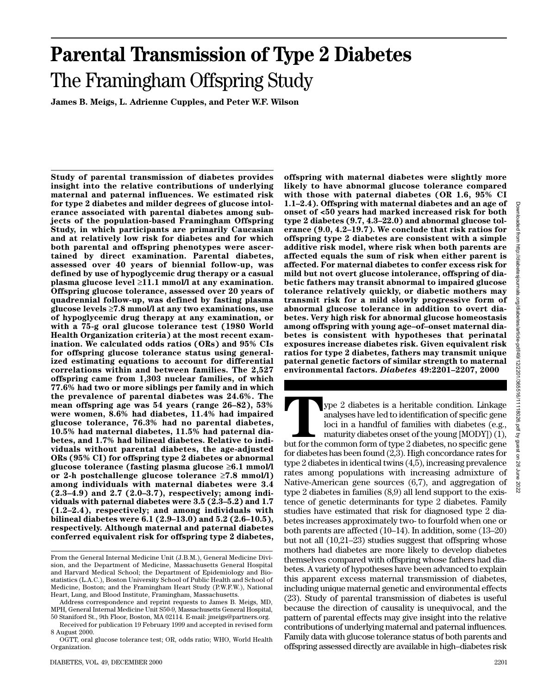# **Parental Transmission of Type 2 Diabetes** The Framingham Offspring Study

**James B. Meigs, L. Adrienne Cupples, and Peter W.F. Wilson**

**Study of parental transmission of diabetes provides insight into the relative contributions of underlying maternal and paternal influences. We estimated risk for type 2 diabetes and milder degrees of glucose intolerance associated with parental diabetes among subjects of the population-based Framingham Offspring Study, in which participants are primarily Caucasian and at relatively low risk for diabetes and for which both parental and offspring phenotypes were ascertained by direct examination. Parental diabetes, assessed over 40 years of biennial follow-up, was defined by use of hypoglycemic drug therapy or a casual plasma glucose level** ≥**11.1 mmol/l at any examination. Offspring glucose tolerance, assessed over 20 years of quadrennial follow-up, was defined by fasting plasma glucose levels** ≥**7.8 mmol/l at any two examinations, use of hypoglycemic drug therapy at any examination, or with a 75-g oral glucose tolerance test (1980 World Health Organization criteria) at the most recent examination. We calculated odds ratios (ORs) and 95% CIs for offspring glucose tolerance status using generalized estimating equations to account for differential correlations within and between families. The 2,527 offspring came from 1,303 nuclear families, of which 77.6% had two or more siblings per family and in which the prevalence of parental diabetes was 24.6%. The mean offspring age was 54 years (range 26–82), 53% were women, 8.6% had diabetes, 11.4% had impaired glucose tolerance, 76.3% had no parental diabetes, 10.5% had maternal diabetes, 11.5% had paternal diabetes, and 1.7% had bilineal diabetes. Relative to individuals without parental diabetes, the age-adjusted ORs (95% CI) for offspring type 2 diabetes or abnormal glucose tolerance (fasting plasma glucose** ≥**6.1 mmol/l or 2-h postchallenge glucose tolerance** ≥**7.8 mmol/l) among individuals with maternal diabetes were 3.4 (2.3–4.9) and 2.7 (2.0–3.7), respectively; among individuals with paternal diabetes were 3.5 (2.3–5.2) and 1.7 (1.2–2.4), respectively; and among individuals with bilineal diabetes were 6.1 (2.9–13.0) and 5.2 (2.6–10.5), respectively. Although maternal and paternal diabetes conferred equivalent risk for offspring type 2 diabetes,**

Address correspondence and reprint requests to James B. Meigs, MD, MPH, General Internal Medicine Unit S50-9, Massachusetts General Hospital, 50 Staniford St., 9th Floor, Boston, MA 02114. E-mail: jmeigs@partners.org.

Received for publication 19 February 1999 and accepted in revised form 8 August 2000.

OGTT, oral glucose tolerance test; OR, odds ratio; WHO, World Health Organization.

**offspring with maternal diabetes were slightly more likely to have abnormal glucose tolerance compared with those with paternal diabetes (OR 1.6, 95% CI 1.1–2.4). Offspring with maternal diabetes and an age of onset of <50 years had marked increased risk for both type 2 diabetes (9.7, 4.3–22.0) and abnormal glucose tolerance (9.0, 4.2–19.7). We conclude that risk ratios for offspring type 2 diabetes are consistent with a simple additive risk model, where risk when both parents are affected equals the sum of risk when either parent is affected. For maternal diabetes to confer excess risk for mild but not overt glucose intolerance, offspring of diabetic fathers may transit abnormal to impaired glucose tolerance relatively quickly, or diabetic mothers may transmit risk for a mild slowly progressive form of abnormal glucose tolerance in addition to overt diabetes. Very high risk for abnormal glucose homeostasis among offspring with young age–of–onset maternal diabetes is consistent with hypotheses that perinatal exposures increase diabetes risk. Given equivalent risk ratios for type 2 diabetes, fathers may transmit unique paternal genetic factors of similar strength to maternal environmental factors.** *Diabetes* **49:2201–2207, 2000**

The 2 diabetes is a heritable condition. Linkage analyses have led to identification of specific gene loci in a handful of families with diabetes (e.g., maturity diabetes onset of the young [MODY]) (1), but for the common analyses have led to identification of specific gene loci in a handful of families with diabetes (e.g., maturity diabetes onset of the young [MODY]) (1), for diabetes has been found (2,3). High concordance rates for type 2 diabetes in identical twins (4,5), increasing prevalence rates among populations with increasing admixture of Native-American gene sources (6,7), and aggregation of type 2 diabetes in families (8,9) all lend support to the existence of genetic determinants for type 2 diabetes. Family studies have estimated that risk for diagnosed type 2 diabetes increases approximately two- to fourfold when one or both parents are affected (10–14). In addition, some (13–20) but not all (10,21–23) studies suggest that offspring whose mothers had diabetes are more likely to develop diabetes themselves compared with offspring whose fathers had diabetes. A variety of hypotheses have been advanced to explain this apparent excess maternal transmission of diabetes, including unique maternal genetic and environmental effects (23). Study of parental transmission of diabetes is useful because the direction of causality is unequivocal, and the pattern of parental effects may give insight into the relative contributions of underlying maternal and paternal influences. Family data with glucose tolerance status of both parents and offspring assessed directly are available in high–diabetes risk

From the General Internal Medicine Unit (J.B.M.), General Medicine Division, and the Department of Medicine, Massachusetts General Hospital and Harvard Medical School; the Department of Epidemiology and Biostatistics (L.A.C.), Boston University School of Public Health and School of Medicine, Boston; and the Framingham Heart Study (P.W.F.W.), National Heart, Lung, and Blood Institute, Framingham, Massachusetts.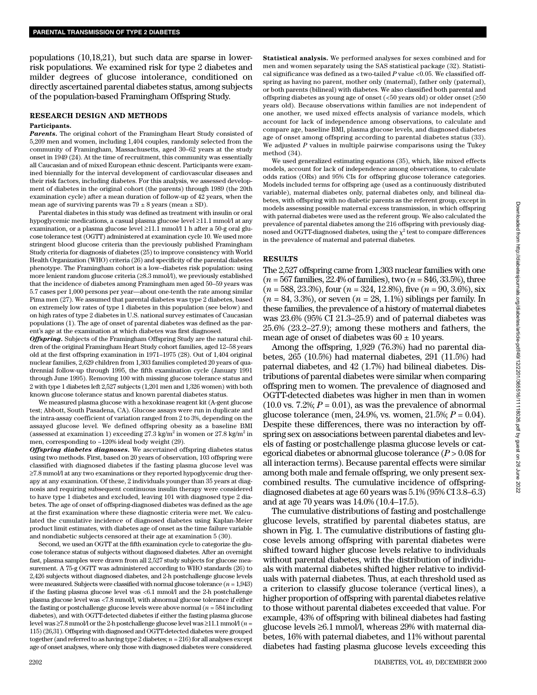populations (10,18,21), but such data are sparse in lowerrisk populations. We examined risk for type 2 diabetes and milder degrees of glucose intolerance, conditioned on directly ascertained parental diabetes status, among subjects of the population-based Framingham Offspring Study.

# **RESEARCH DESIGN AND METHODS**

## **Participants.**

*Parents.* The original cohort of the Framingham Heart Study consisted of 5,209 men and women, including 1,404 couples, randomly selected from the community of Framingham, Massachusetts, aged 30–62 years at the study onset in 1949 (24). At the time of recruitment, this community was essentially all Caucasian and of mixed European ethnic descent. Participants were examined biennially for the interval development of cardiovascular diseases and their risk factors, including diabetes. For this analysis, we assessed development of diabetes in the original cohort (the parents) through 1989 (the 20th examination cycle) after a mean duration of follow-up of 42 years, when the mean age of surviving parents was  $79 \pm 8$  years (mean  $\pm$  SD).

Parental diabetes in this study was defined as treatment with insulin or oral hypoglycemic medications, a casual plasma glucose level ≥11.1 mmol/l at any examination, or a plasma glucose level ≥11.1 mmol/l 1 h after a 50-g oral glucose tolerance test (OGTT) administered at examination cycle 10. We used more stringent blood glucose criteria than the previously published Framingham Study criteria for diagnosis of diabetes (25) to improve consistency with World Health Organization (WHO) criteria (26) and specificity of the parental diabetes phenotype. The Framingham cohort is a low–diabetes risk population: using more lenient random glucose criteria (≥8.3 mmol/l), we previously established that the incidence of diabetes among Framingham men aged 50–59 years was 5.7 cases per 1,000 persons per year—about one-tenth the rate among similar Pima men (27). We assumed that parental diabetes was type 2 diabetes, based on extremely low rates of type 1 diabetes in this population (see below) and on high rates of type 2 diabetes in U.S. national survey estimates of Caucasian populations (1). The age of onset of parental diabetes was defined as the parent's age at the examination at which diabetes was first diagnosed.

*Offspring.* Subjects of the Framingham Offspring Study are the natural children of the original Framingham Heart Study cohort families, aged 12–58 years old at the first offspring examination in 1971–1975 (28). Out of 1,404 original nuclear families, 2,629 children from 1,303 families completed 20 years of quadrennial follow-up through 1995, the fifth examination cycle (January 1991 through June 1995). Removing 100 with missing glucose tolerance status and 2 with type 1 diabetes left 2,527 subjects (1,201 men and 1,326 women) with both known glucose tolerance status and known parental diabetes status.

We measured plasma glucose with a hexokinase reagent kit (A-gent glucose test; Abbott, South Pasadena, CA). Glucose assays were run in duplicate and the intra-assay coefficient of variation ranged from 2 to 3%, depending on the assayed glucose level. We defined offspring obesity as a baseline BMI (assessed at examination 1) exceeding  $27.3 \text{ kg/m}^2$  in women or  $27.8 \text{ kg/m}^2$  in men, corresponding to ~120% ideal body weight (29).

*Offspring diabetes diagnoses.* We ascertained offspring diabetes status using two methods. First, based on 20 years of observation, 103 offspring were classified with diagnosed diabetes if the fasting plasma glucose level was ≥7.8 mmol/l at any two examinations or they reported hypoglycemic drug therapy at any examination. Of these, 2 individuals younger than 35 years at diagnosis and requiring subsequent continuous insulin therapy were considered to have type 1 diabetes and excluded, leaving 101 with diagnosed type 2 diabetes. The age of onset of offspring-diagnosed diabetes was defined as the age at the first examination where these diagnostic criteria were met. We calculated the cumulative incidence of diagnosed diabetes using Kaplan-Meier product limit estimates, with diabetes age of onset as the time failure variable and nondiabetic subjects censored at their age at examination 5 (30).

Second, we used an OGTT at the fifth examination cycle to categorize the glucose tolerance status of subjects without diagnosed diabetes. After an overnight fast, plasma samples were drawn from all 2,527 study subjects for glucose measurement. A 75-g OGTT was administered according to WHO standards (26) to 2,426 subjects without diagnosed diabetes, and 2-h postchallenge glucose levels were measured. Subjects were classified with normal glucose tolerance (*n* = 1,943) if the fasting plasma glucose level was <6.1 mmol/l and the 2-h postchallenge plasma glucose level was <7.8 mmol/l, with abnormal glucose tolerance if either the fasting or postchallenge glucose levels were above normal (*n* = 584 including diabetes), and with OGTT-detected diabetes if either the fasting plasma glucose level was ≥7.8 mmol/l or the 2-h postchallenge glucose level was ≥11.1 mmol/l (*n* = 115) (26,31). Offspring with diagnosed and OGTT-detected diabetes were grouped together (and referred to as having type 2 diabetes; *n* = 216) for all analyses except age of onset analyses, where only those with diagnosed diabetes were considered.

**Statistical analysis.** We performed analyses for sexes combined and for men and women separately using the SAS statistical package (32). Statistical significance was defined as a two-tailed  $P$  value <0.05. We classified offspring as having no parent, mother only (maternal), father only (paternal), or both parents (bilineal) with diabetes. We also classified both parental and offspring diabetes as young age of onset  $(*50* years old)$  or older onset  $(≥50$ years old). Because observations within families are not independent of one another, we used mixed effects analysis of variance models, which account for lack of independence among observations, to calculate and compare age, baseline BMI, plasma glucose levels, and diagnosed diabetes age of onset among offspring according to parental diabetes status (33). We adjusted *P* values in multiple pairwise comparisons using the Tukey method (34).

We used generalized estimating equations (35), which, like mixed effects models, account for lack of independence among observations, to calculate odds ratios (ORs) and 95% CIs for offspring glucose tolerance categories. Models included terms for offspring age (used as a continuously distributed variable), maternal diabetes only, paternal diabetes only, and bilineal diabetes, with offspring with no diabetic parents as the referent group, except in models assessing possible maternal excess transmission, in which offspring with paternal diabetes were used as the referent group. We also calculated the prevalence of parental diabetes among the 216 offspring with previously diagnosed and OGTT-diagnosed diabetes, using the  $\chi^2$  test to compare differences in the prevalence of maternal and paternal diabetes.

#### **RESULTS**

The 2,527 offspring came from 1,303 nuclear families with one (*n* = 567 families, 22.4% of families), two (*n* = 846, 33.5%), three (*n* = 588, 23.3%), four (*n* = 324, 12.8%), five (*n* = 90, 3.6%), six (*n* = 84, 3.3%), or seven (*n* = 28, 1.1%) siblings per family. In these families, the prevalence of a history of maternal diabetes was 23.6% (95% CI 21.3–25.9) and of paternal diabetes was 25.6% (23.2–27.9); among these mothers and fathers, the mean age of onset of diabetes was  $60 \pm 10$  years.

Among the offspring, 1,929 (76.3%) had no parental diabetes, 265 (10.5%) had maternal diabetes, 291 (11.5%) had paternal diabetes, and 42 (1.7%) had bilineal diabetes. Distributions of parental diabetes were similar when comparing offspring men to women. The prevalence of diagnosed and OGTT-detected diabetes was higher in men than in women  $(10.0 \text{ vs. } 7.2\%; P = 0.01)$ , as was the prevalence of abnormal glucose tolerance (men, 24.9%, vs. women, 21.5%; *P* = 0.04). Despite these differences, there was no interaction by offspring sex on associations between parental diabetes and levels of fasting or postchallenge plasma glucose levels or categorical diabetes or abnormal glucose tolerance (*P* > 0.08 for all interaction terms). Because parental effects were similar among both male and female offspring, we only present sexcombined results. The cumulative incidence of offspringdiagnosed diabetes at age 60 years was 5.1% (95% CI 3.8–6.3) and at age 70 years was 14.0% (10.4–17.5).

The cumulative distributions of fasting and postchallenge glucose levels, stratified by parental diabetes status, are shown in Fig. 1. The cumulative distributions of fasting glucose levels among offspring with parental diabetes were shifted toward higher glucose levels relative to individuals without parental diabetes, with the distribution of individuals with maternal diabetes shifted higher relative to individuals with paternal diabetes. Thus, at each threshold used as a criterion to classify glucose tolerance (vertical lines), a higher proportion of offspring with parental diabetes relative to those without parental diabetes exceeded that value. For example, 43% of offspring with bilineal diabetes had fasting glucose levels ≥6.1 mmol/l, whereas 29% with maternal diabetes, 16% with paternal diabetes, and 11% without parental diabetes had fasting plasma glucose levels exceeding this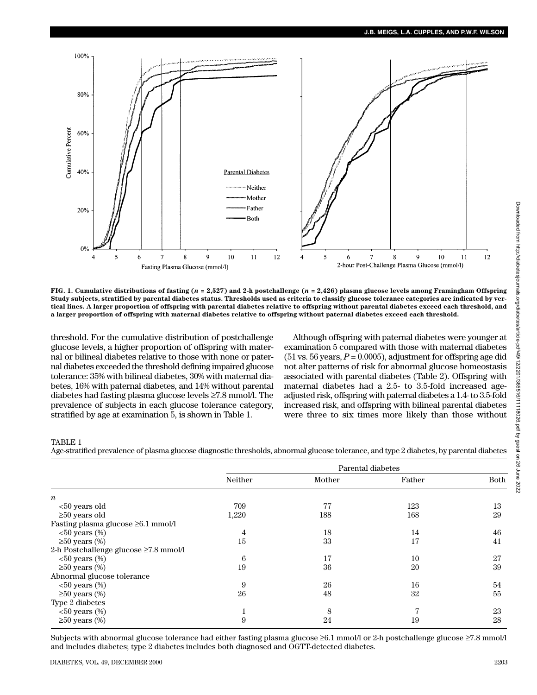

**FIG. 1. Cumulative distributions of fasting (***n* **= 2,527) and 2-h postchallenge (***n* **= 2,426) plasma glucose levels among Framingham Offspring Study subjects, stratified by parental diabetes status. Thresholds used as criteria to classify glucose tolerance categories are indicated by vertical lines. A larger proportion of offspring with parental diabetes relative to offspring without parental diabetes exceed each threshold, and a larger proportion of offspring with maternal diabetes relative to offspring without paternal diabetes exceed each threshold.**

threshold. For the cumulative distribution of postchallenge glucose levels, a higher proportion of offspring with maternal or bilineal diabetes relative to those with none or paternal diabetes exceeded the threshold defining impaired glucose tolerance: 35% with bilineal diabetes, 30% with maternal diabetes, 16% with paternal diabetes, and 14% without parental diabetes had fasting plasma glucose levels ≥7.8 mmol/l. The prevalence of subjects in each glucose tolerance category, stratified by age at examination 5, is shown in Table 1.

Although offspring with paternal diabetes were younger at examination 5 compared with those with maternal diabetes  $(51 \text{ vs. } 56 \text{ years}, P = 0.0005)$ , adjustment for offspring age did not alter patterns of risk for abnormal glucose homeostasis associated with parental diabetes (Table 2). Offspring with maternal diabetes had a 2.5- to 3.5-fold increased ageadjusted risk, offspring with paternal diabetes a 1.4- to 3.5-fold increased risk, and offspring with bilineal parental diabetes were three to six times more likely than those without

## TABLE 1

Age-stratified prevalence of plasma glucose diagnostic thresholds, abnormal glucose tolerance, and type 2 diabetes, by parental diabetes

|                                          |         | Parental diabetes |        |      |  |  |
|------------------------------------------|---------|-------------------|--------|------|--|--|
|                                          | Neither | Mother            | Father | Both |  |  |
| $\boldsymbol{n}$                         |         |                   |        |      |  |  |
| $< 50$ years old                         | 709     | 77                | 123    | 13   |  |  |
| $\geq 50$ years old                      | 1,220   | 188               | 168    | 29   |  |  |
| Fasting plasma glucose $\geq 6.1$ mmol/l |         |                   |        |      |  |  |
| $< 50$ years $(\%)$                      | 4       | 18                | 14     | 46   |  |  |
| $\geq 50$ years (%)                      | 15      | 33                | 17     | 41   |  |  |
| 2-h Postchallenge glucose ≥7.8 mmol/l    |         |                   |        |      |  |  |
| $< 50$ years $(\%)$                      | 6       | 17                | 10     | 27   |  |  |
| $\geq 50$ years (%)                      | 19      | 36                | 20     | 39   |  |  |
| Abnormal glucose tolerance               |         |                   |        |      |  |  |
| $< 50$ years $(\%)$                      | 9       | 26                | 16     | 54   |  |  |
| $\geq 50$ years (%)                      | 26      | 48                | 32     | 55   |  |  |
| Type 2 diabetes                          |         |                   |        |      |  |  |
| $< 50$ years $(\%)$                      |         | 8                 |        | 23   |  |  |
| $\geq 50$ years (%)                      | 9       | 24                | 19     | 28   |  |  |

Subjects with abnormal glucose tolerance had either fasting plasma glucose ≥6.1 mmol/l or 2-h postchallenge glucose ≥7.8 mmol/l and includes diabetes; type 2 diabetes includes both diagnosed and OGTT-detected diabetes.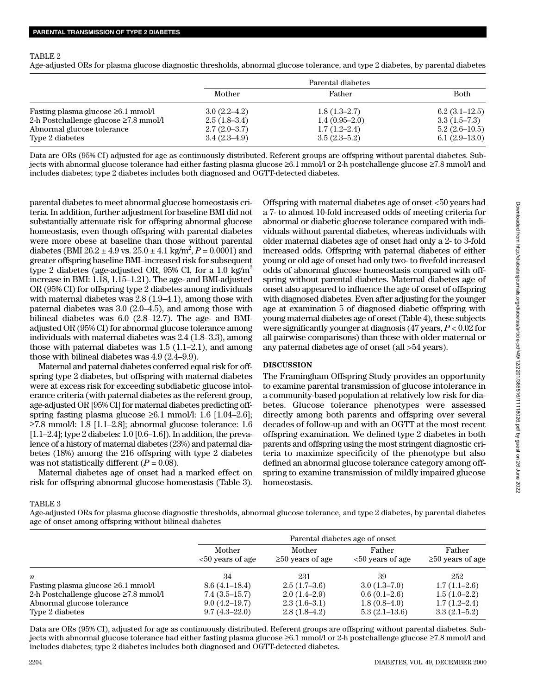## TABLE 2

Age-adjusted ORs for plasma glucose diagnostic thresholds, abnormal glucose tolerance, and type 2 diabetes, by parental diabetes

|                                             |                | Parental diabetes |                 |
|---------------------------------------------|----------------|-------------------|-----------------|
|                                             | Mother         | Father            | Both            |
| Fasting plasma glucose $\geq 6.1$ mmol/l    | $3.0(2.2-4.2)$ | $1.8(1.3-2.7)$    | $6.2(3.1-12.5)$ |
| 2-h Postchallenge glucose $\geq 7.8$ mmol/l | $2.5(1.8-3.4)$ | $1.4(0.95-2.0)$   | $3.3(1.5-7.3)$  |
| Abnormal glucose tolerance                  | $2.7(2.0-3.7)$ | $1.7(1.2 - 2.4)$  | $5.2(2.6-10.5)$ |
| Type 2 diabetes                             | $3.4(2.3-4.9)$ | $3.5(2.3-5.2)$    | $6.1(2.9-13.0)$ |

Data are ORs (95% CI) adjusted for age as continuously distributed. Referent groups are offspring without parental diabetes. Subjects with abnormal glucose tolerance had either fasting plasma glucose ≥6.1 mmol/l or 2-h postchallenge glucose ≥7.8 mmol/l and includes diabetes; type 2 diabetes includes both diagnosed and OGTT-detected diabetes.

parental diabetes to meet abnormal glucose homeostasis criteria. In addition, further adjustment for baseline BMI did not substantially attenuate risk for offspring abnormal glucose homeostasis, even though offspring with parental diabetes were more obese at baseline than those without parental diabetes (BMI 26.2  $\pm$  4.9 vs. 25.0  $\pm$  4.1 kg/m<sup>2</sup>,  $P = 0.0001$ ) and greater offspring baseline BMI–increased risk for subsequent type 2 diabetes (age-adjusted OR,  $95\%$  CI, for a 1.0 kg/m<sup>2</sup> increase in BMI: 1.18, 1.15–1.21). The age- and BMI-adjusted OR (95% CI) for offspring type 2 diabetes among individuals with maternal diabetes was 2.8 (1.9–4.1), among those with paternal diabetes was 3.0 (2.0–4.5), and among those with bilineal diabetes was 6.0 (2.8–12.7). The age- and BMIadjusted OR (95% CI) for abnormal glucose tolerance among individuals with maternal diabetes was 2.4 (1.8–3.3), among those with paternal diabetes was 1.5 (1.1–2.1), and among those with bilineal diabetes was 4.9 (2.4–9.9).

Maternal and paternal diabetes conferred equal risk for offspring type 2 diabetes, but offspring with maternal diabetes were at excess risk for exceeding subdiabetic glucose intolerance criteria (with paternal diabetes as the referent group, age-adjusted OR [95% CI] for maternal diabetes predicting offspring fasting plasma glucose ≥6.1 mmol/l: 1.6 [1.04–2.6]; ≥7.8 mmol/l: 1.8 [1.1–2.8]; abnormal glucose tolerance: 1.6 [1.1–2.4]; type 2 diabetes: 1.0 [0.6–1.6]). In addition, the prevalence of a history of maternal diabetes (23%) and paternal diabetes (18%) among the 216 offspring with type 2 diabetes was not statistically different  $(P = 0.08)$ .

Maternal diabetes age of onset had a marked effect on risk for offspring abnormal glucose homeostasis (Table 3).

Offspring with maternal diabetes age of onset <50 years had a 7- to almost 10-fold increased odds of meeting criteria for abnormal or diabetic glucose tolerance compared with individuals without parental diabetes, whereas individuals with older maternal diabetes age of onset had only a 2- to 3-fold increased odds. Offspring with paternal diabetes of either young or old age of onset had only two- to fivefold increased odds of abnormal glucose homeostasis compared with offspring without parental diabetes. Maternal diabetes age of onset also appeared to influence the age of onset of offspring with diagnosed diabetes. Even after adjusting for the younger age at examination 5 of diagnosed diabetic offspring with young maternal diabetes age of onset (Table 4), these subjects were significantly younger at diagnosis (47 years, *P* < 0.02 for all pairwise comparisons) than those with older maternal or any paternal diabetes age of onset (all >54 years).

# **DISCUSSION**

The Framingham Offspring Study provides an opportunity to examine parental transmission of glucose intolerance in a community-based population at relatively low risk for diabetes. Glucose tolerance phenotypes were assessed directly among both parents and offspring over several decades of follow-up and with an OGTT at the most recent offspring examination. We defined type 2 diabetes in both parents and offspring using the most stringent diagnostic criteria to maximize specificity of the phenotype but also defined an abnormal glucose tolerance category among offspring to examine transmission of mildly impaired glucose homeostasis.

# TABLE 3

Age-adjusted ORs for plasma glucose diagnostic thresholds, abnormal glucose tolerance, and type 2 diabetes, by parental diabetes age of onset among offspring without bilineal diabetes

|                                             | Parental diabetes age of onset |                                  |                               |                                  |
|---------------------------------------------|--------------------------------|----------------------------------|-------------------------------|----------------------------------|
|                                             | Mother<br>$< 50$ years of age  | Mother<br>$\geq$ 50 years of age | Father<br>$< 50$ years of age | Father<br>$\geq 50$ years of age |
| $\boldsymbol{n}$                            | 34                             | 231                              | 39                            | 252                              |
| Fasting plasma glucose $\geq 6.1$ mmol/l    | $8.6(4.1 - 18.4)$              | $2.5(1.7-3.6)$                   | $3.0(1.3-7.0)$                | $1.7(1.1-2.6)$                   |
| 2-h Postchallenge glucose $\geq 7.8$ mmol/l | $7.4(3.5-15.7)$                | $2.0(1.4-2.9)$                   | $0.6(0.1-2.6)$                | $1.5(1.0-2.2)$                   |
| Abnormal glucose tolerance                  | 9.0(4.2–19.7)                  | $2.3(1.6-3.1)$                   | $1.8(0.8-4.0)$                | $1.7(1.2 - 2.4)$                 |
| Type 2 diabetes                             | $9.7(4.3-22.0)$                | $2.8(1.8-4.2)$                   | $5.3(2.1-13.6)$               | $3.3(2.1-5.2)$                   |

Data are ORs (95% CI), adjusted for age as continuously distributed. Referent groups are offspring without parental diabetes. Subjects with abnormal glucose tolerance had either fasting plasma glucose ≥6.1 mmol/l or 2-h postchallenge glucose ≥7.8 mmol/l and includes diabetes; type 2 diabetes includes both diagnosed and OGTT-detected diabetes.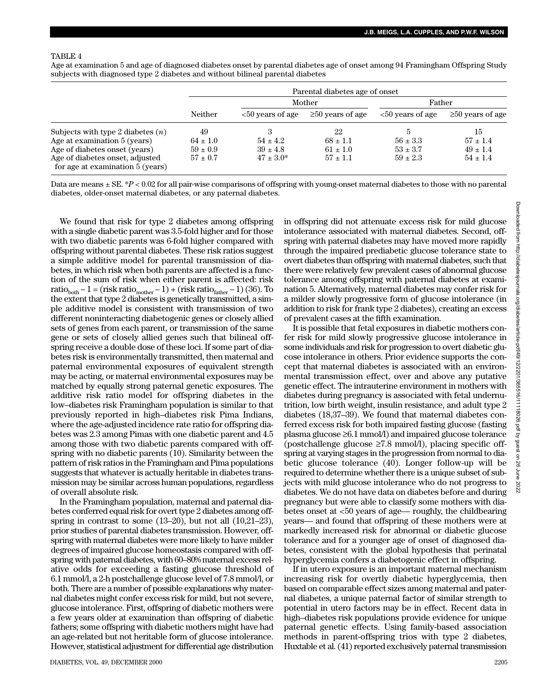## TABLE 4

Age at examination 5 and age of diagnosed diabetes onset by parental diabetes age of onset among 94 Framingham Offspring Study subjects with diagnosed type 2 diabetes and without bilineal parental diabetes

|                                                                     | Parental diabetes age of onset |                     |                        |                     |                        |  |
|---------------------------------------------------------------------|--------------------------------|---------------------|------------------------|---------------------|------------------------|--|
|                                                                     | Neither                        | Mother              |                        | Father              |                        |  |
|                                                                     |                                | $< 50$ years of age | $\geq$ 50 years of age | $< 50$ years of age | $\geq$ 50 years of age |  |
| Subjects with type 2 diabetes $(n)$                                 | 49                             |                     | 22                     | 5                   | 15                     |  |
| Age at examination 5 (years)                                        | $64 \pm 1.0$                   | $54 \pm 4.2$        | $68 \pm 1.1$           | $56 \pm 3.3$        | $57 \pm 1.4$           |  |
| Age of diabetes onset (years)                                       | $59 \pm 0.9$                   | $39 \pm 4.8$        | $61 \pm 1.0$           | $53 \pm 3.7$        | $49 \pm 1.4$           |  |
| Age of diabetes onset, adjusted<br>for age at examination 5 (years) | $57 \pm 0.7$                   | $47 \pm 3.0^*$      | $57 \pm 1.1$           | $59 \pm 2.3$        | $54 \pm 1.4$           |  |

Data are means  $\pm$  SE. \**P* < 0.02 for all pair-wise comparisons of offspring with young-onset maternal diabetes to those with no parental diabetes, older-onset maternal diabetes, or any paternal diabetes.

We found that risk for type 2 diabetes among offspring with a single diabetic parent was 3.5-fold higher and for those with two diabetic parents was 6-fold higher compared with offspring without parental diabetes. These risk ratios suggest a simple additive model for parental transmission of diabetes, in which risk when both parents are affected is a function of the sum of risk when either parent is affected: risk ratio<sub>both</sub> – 1 = (risk ratio<sub>mother</sub> – 1) + (risk ratio<sub>father</sub> – 1) (36). To the extent that type 2 diabetes is genetically transmitted, a simple additive model is consistent with transmission of two different noninteracting diabetogenic genes or closely allied sets of genes from each parent, or transmission of the same gene or sets of closely allied genes such that bilineal offspring receive a double dose of these loci. If some part of diabetes risk is environmentally transmitted, then maternal and paternal environmental exposures of equivalent strength may be acting, or maternal environmental exposures may be matched by equally strong paternal genetic exposures. The additive risk ratio model for offspring diabetes in the low–diabetes risk Framingham population is similar to that previously reported in high–diabetes risk Pima Indians, where the age-adjusted incidence rate ratio for offspring diabetes was 2.3 among Pimas with one diabetic parent and 4.5 among those with two diabetic parents compared with offspring with no diabetic parents (10). Similarity between the pattern of risk ratios in the Framingham and Pima populations suggests that whatever is actually heritable in diabetes transmission may be similar across human populations, regardless of overall absolute risk.

In the Framingham population, maternal and paternal diabetes conferred equal risk for overt type 2 diabetes among offspring in contrast to some (13–20), but not all (10,21–23), prior studies of parental diabetes transmission. However, offspring with maternal diabetes were more likely to have milder degrees of impaired glucose homeostasis compared with offspring with paternal diabetes, with 60–80% maternal excess relative odds for exceeding a fasting glucose threshold of 6.1 mmol/l, a 2-h postchallenge glucose level of 7.8 mmol/l, or both. There are a number of possible explanations why maternal diabetes might confer excess risk for mild, but not severe, glucose intolerance. First, offspring of diabetic mothers were a few years older at examination than offspring of diabetic fathers; some offspring with diabetic mothers might have had an age-related but not heritable form of glucose intolerance. However, statistical adjustment for differential age distribution

in offspring did not attenuate excess risk for mild glucose intolerance associated with maternal diabetes. Second, offspring with paternal diabetes may have moved more rapidly through the impaired prediabetic glucose tolerance state to overt diabetes than offspring with maternal diabetes, such that there were relatively few prevalent cases of abnormal glucose tolerance among offspring with paternal diabetes at examination 5. Alternatively, maternal diabetes may confer risk for a milder slowly progressive form of glucose intolerance (in addition to risk for frank type 2 diabetes), creating an excess of prevalent cases at the fifth examination.

It is possible that fetal exposures in diabetic mothers confer risk for mild slowly progressive glucose intolerance in some individuals and risk for progression to overt diabetic glucose intolerance in others. Prior evidence supports the concept that maternal diabetes is associated with an environmental transmission effect, over and above any putative genetic effect. The intrauterine environment in mothers with diabetes during pregnancy is associated with fetal undernutrition, low birth weight, insulin resistance, and adult type 2 diabetes (18,37–39). We found that maternal diabetes conferred excess risk for both impaired fasting glucose (fasting plasma glucose ≥6.1 mmol/l) and impaired glucose tolerance (postchallenge glucose ≥7.8 mmol/l), placing specific offspring at varying stages in the progression from normal to diabetic glucose tolerance (40). Longer follow-up will be required to determine whether there is a unique subset of subjects with mild glucose intolerance who do not progress to diabetes. We do not have data on diabetes before and during pregnancy but were able to classify some mothers with diabetes onset at <50 years of age— roughly, the childbearing years— and found that offspring of these mothers were at markedly increased risk for abnormal or diabetic glucose tolerance and for a younger age of onset of diagnosed diabetes, consistent with the global hypothesis that perinatal hyperglycemia confers a diabetogenic effect in offspring.

If in utero exposure is an important maternal mechanism increasing risk for overtly diabetic hyperglycemia, then based on comparable effect sizes among maternal and paternal diabetes, a unique paternal factor of similar strength to potential in utero factors may be in effect. Recent data in high–diabetes risk populations provide evidence for unique paternal genetic effects. Using family-based association methods in parent-offspring trios with type 2 diabetes, Huxtable et al. (41) reported exclusively paternal transmission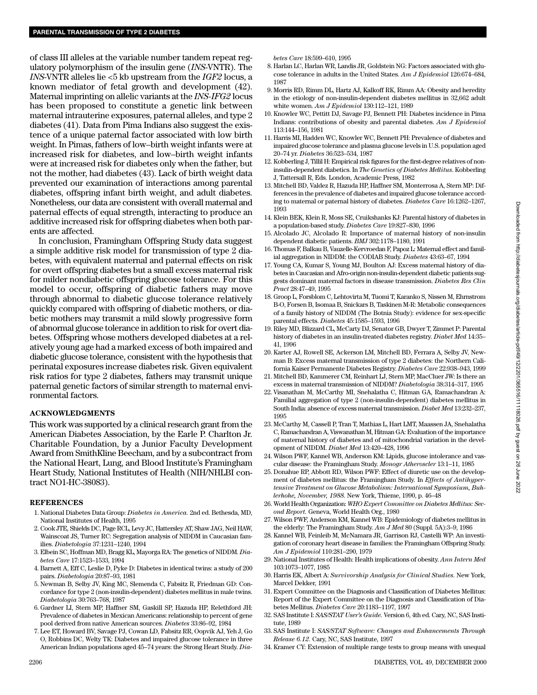of class III alleles at the variable number tandem repeat regulatory polymorphism of the insulin gene (*INS*-VNTR). The *INS*-VNTR alleles lie <5 kb upstream from the *IGF2* locus, a known mediator of fetal growth and development (42). Maternal imprinting on allelic variants at the *INS-IFG2* locus has been proposed to constitute a genetic link between maternal intrauterine exposures, paternal alleles, and type 2 diabetes (41). Data from Pima Indians also suggest the existence of a unique paternal factor associated with low birth weight. In Pimas, fathers of low–birth weight infants were at increased risk for diabetes, and low–birth weight infants were at increased risk for diabetes only when the father, but not the mother, had diabetes (43). Lack of birth weight data prevented our examination of interactions among parental diabetes, offspring infant birth weight, and adult diabetes. Nonetheless, our data are consistent with overall maternal and paternal effects of equal strength, interacting to produce an additive increased risk for offspring diabetes when both parents are affected.

In conclusion, Framingham Offspring Study data suggest a simple additive risk model for transmission of type 2 diabetes, with equivalent maternal and paternal effects on risk for overt offspring diabetes but a small excess maternal risk for milder nondiabetic offspring glucose tolerance. For this model to occur, offspring of diabetic fathers may move through abnormal to diabetic glucose tolerance relatively quickly compared with offspring of diabetic mothers, or diabetic mothers may transmit a mild slowly progressive form of abnormal glucose tolerance in addition to risk for overt diabetes. Offspring whose mothers developed diabetes at a relatively young age had a marked excess of both impaired and diabetic glucose tolerance, consistent with the hypothesis that perinatal exposures increase diabetes risk. Given equivalent risk ratios for type 2 diabetes, fathers may transmit unique paternal genetic factors of similar strength to maternal environmental factors.

## **ACKNOWLEDGMENTS**

This work was supported by a clinical research grant from the American Diabetes Association, by the Earle P. Charlton Jr. Charitable Foundation, by a Junior Faculty Development Award from SmithKline Beecham, and by a subcontract from the National Heart, Lung, and Blood Institute's Framingham Heart Study, National Institutes of Health (NIH/NHLBI contract NO1-HC-38083).

## **REFERENCES**

- 1. National Diabetes Data Group: *Diabetes in America.* 2nd ed. Bethesda, MD, National Institutes of Health, 1995
- 2. Cook JTE, Shields DC, Page RCL, Levy JC, Hattersley AT, Shaw JAG, Neil HAW, Wainscoat JS, Turner RC: Segregation analysis of NIDDM in Caucasian families. *Diabetologia* 37:1231–1240, 1994
- 3. Elbein SC, Hoffman MD, Bragg KL, Mayorga RA: The genetics of NIDDM. *Diabetes Care* 17:1523–1533, 1994
- 4. Barnett A, Eff C, Leslie D, Pyke D: Diabetes in identical twins: a study of 200 pairs. *Diabetologia* 20:87–93, 1981
- 5. Newman B, Selby JV, King MC, Slemenda C, Fabsitz R, Friedman GD: Concordance for type 2 (non-insulin-dependent) diabetes mellitus in male twins. *Diabetologia* 30:763–768, 1987
- 6. Gardner LI, Stern MP, Haffner SM, Gaskill SP, Hazuda HP, Relethford JH: Prevalence of diabetes in Mexican Americans: relationship to percent of gene pool derived from native American sources. *Diabetes* 33:86–92, 1984
- 7. Lee ET, Howard BV, Savage PJ, Cowan LD, Fabsitz RR, Oopvik AJ, Yeh J, Go O, Robbins DC, Welty TK: Diabetes and impaired glucose tolerance in three American Indian populations aged 45–74 years: the Strong Heart Study. *Dia-*

*betes Care* 18:599–610, 1995

- 8. Harlan LC, Harlan WR, Landis JR, Goldstein NG: Factors associated with glucose tolerance in adults in the United States. *Am J Epidemiol* 126:674–684, 1987
- 9. Morris RD, Rimm DL, Hartz AJ, Kalkoff RK, Rimm AA: Obesity and heredity in the etiology of non-insulin-dependent diabetes mellitus in 32,662 adult white women. *Am J Epidemiol* 130:112–121, 1989
- 10. Knowler WC, Pettitt DJ, Savage PJ, Bennett PH: Diabetes incidence in Pima Indians: contributions of obesity and parental diabetes. *Am J Epidemiol* 113:144–156, 1981
- 11. Harris MI, Hadden WC, Knowler WC, Bennett PH: Prevalence of diabetes and impaired glucose tolerance and plasma glucose levels in U.S. population aged 20–74 yr. *Diabetes* 36:523–534, 1987
- 12. Kobberling J, Tillil H: Empirical risk figures for the first-degree relatives of noninsulin-dependent diabetics. In *The Genetics of Diabetes Mellitus*. Kobberling J, Tattersall R, Eds. London, Academic Press, 1982
- 13. Mitchell BD, Valdez R, Hazuda HP, Haffner SM, Monterrosa A, Stern MP: Differences in the prevalence of diabetes and impaired glucose tolerance according to maternal or paternal history of diabetes. *Diabetes Care* 16:1262–1267, 1993
- 14. Klein BEK, Klein R, Moss SE, Cruikshanks KJ: Parental history of diabetes in a population-based study. *Diabetes Care* 19:827–830, 1996
- 15. Alcolado JC, Alcolado R: Importance of maternal history of non-insulin dependent diabetic patients. *BMJ* 302:1178–1180, 1991
- 16. Thomas F, Balkau B, Vauzelle-Kervroedan F, Papoz L: Maternal effect and familial aggregation in NIDDM: the CODIAB Study. *Diabetes* 43:63–67, 1994
- 17. Young CA, Kumar S, Young MJ, Boulton AJ: Excess maternal history of diabetes in Caucasian and Afro-origin non-insulin-dependent diabetic patients suggests dominant maternal factors in disease transmission. *Diabetes Res Clin Pract* 28:47–49, 1995
- 18. Groop L, Forsblom C, Lehtovirta M, Tuomi T, Karanko S, Nissen M, Ehrnstrom B-O, Forsen B, Isomaa B, Snickars B, Taskinen M-R: Metabolic consequences of a family history of NIDDM (The Botnia Study): evidence for sex-specific parental effects. *Diabetes* 45:1585–1593, 1996
- 19. Riley MD, Blizzard CL, McCarty DJ, Senator GB, Dwyer T, Zimmet P: Parental history of diabetes in an insulin-treated diabetes registry. *Diabet Med* 14:35– 41, 1996
- 20. Karter AJ, Rowell SE, Ackerson LM, Mitchell BD, Ferrara A, Selby JV, Newman B: Excess maternal transmission of type 2 diabetes: the Northern California Kaiser Permanente Diabetes Registry. *Diabetes Care* 22:938–943, 1999
- 21. Mitchell BD, Kammerer CM, Reinhart LJ, Stern MP, MacCluer JW: Is there an excess in maternal transmission of NIDDM? *Diabetologia* 38:314–317, 1995
- 22. Visanathan M, McCarthy MI, Snehalatha C, Hitman GA, Ramachandran A: Familial aggregation of type 2 (non-insulin-dependent) diabetes mellitus in South India: absence of excess maternal transmission. *Diabet Med* 13:232–237, 1995
- 23. McCarthy M, Cassell P, Tran T, Mathias L, Hart LMT, Maassen JA, Snehalatha C, Ramachandran A, Viswanathan M, Hitman GA: Evaluation of the importance of maternal history of diabetes and of mitochondrial variation in the development of NIDDM. *Diabet Med* 13:420–428, 1996
- 24. Wilson PWF, Kannel WB, Anderson KM: Lipids, glucose intolerance and vascular disease: the Framingham Study. *Monogr Atheroscler* 13:1–11, 1985
- 25. Donahue RP, Abbott RD, Wilson PWF: Effect of diuretic use on the development of diabetes mellitus: the Framingham Study. In *Effects of Antihypertensive Treatment on Glucose Metabolism: International Symposium, Buhlerhohe, November, 1988*. New York, Thieme, 1990, p. 46–48
- 26. World Health Organization: *WHO Expert Committee on Diabetes Mellitus: Second Report.* Geneva, World Health Org., 1980
- 27. Wilson PWF, Anderson KM, Kannel WB: Epidemiology of diabetes mellitus in the elderly: The Framingham Study. *Am J Med* 80 (Suppl. 5A):3–9, 1986
- 28. Kannel WB, Feinleib M, McNamara JR, Garrison RJ, Castelli WP: An investigation of coronary heart disease in families: the Framingham Offspring Study. *Am J Epidemiol* 110:281–290, 1979
- 29. National Institutes of Health: Health implications of obesity. *Ann Intern Med* 103:1073–1077, 1985
- 30. Harris EK, Albert A: *Survivorship Analysis for Clinical Studies.* New York, Marcel Dekker, 1991
- 31. Expert Committee on the Diagnosis and Classification of Diabetes Mellitus: Report of the Expert Committee on the Diagnosis and Classification of Diabetes Mellitus. *Diabetes Care* 20:1183–1197, 1997
- 32. SAS Institute I: *SAS/STAT User's Guide.* Version 6, 4th ed. Cary, NC, SAS Institute, 1989
- 33. SAS Institute I: *SAS/STAT Software: Changes and Enhancements Through Release 6.12.* Cary, NC, SAS Institute, 1997
- 34. Kramer CY: Extension of multiple range tests to group means with unequal